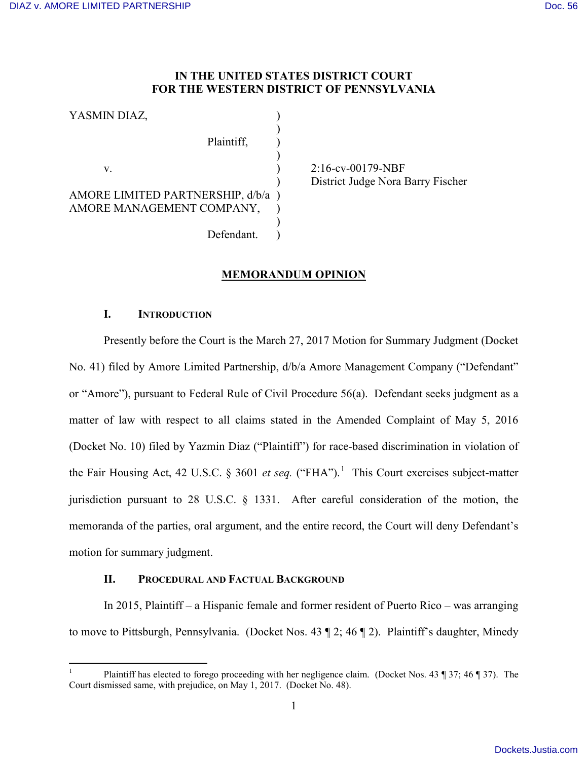## **IN THE UNITED STATES DISTRICT COURT FOR THE WESTERN DISTRICT OF PENNSYLVANIA**

YASMIN DIAZ,  $)$ Plaintiff.  $)$ v. 2:16-cv-00179-NBF AMORE LIMITED PARTNERSHIP, d/b/a ) AMORE MANAGEMENT COMPANY,  $)$ Defendant.

) District Judge Nora Barry Fischer

# **MEMORANDUM OPINION**

## **I. INTRODUCTION**

Presently before the Court is the March 27, 2017 Motion for Summary Judgment (Docket No. 41) filed by Amore Limited Partnership, d/b/a Amore Management Company ("Defendant" or "Amore"), pursuant to Federal Rule of Civil Procedure 56(a). Defendant seeks judgment as a matter of law with respect to all claims stated in the Amended Complaint of May 5, 2016 (Docket No. 10) filed by Yazmin Diaz ("Plaintiff") for race-based discrimination in violation of the Fair Housing Act, 42 U.S.C. § 3601 *et seq.* ("FHA"). [1](#page-0-0) This Court exercises subject-matter jurisdiction pursuant to 28 U.S.C. § 1331. After careful consideration of the motion, the memoranda of the parties, oral argument, and the entire record, the Court will deny Defendant's motion for summary judgment.

## **II. PROCEDURAL AND FACTUAL BACKGROUND**

In 2015, Plaintiff – a Hispanic female and former resident of Puerto Rico – was arranging to move to Pittsburgh, Pennsylvania. (Docket Nos. 43 ¶ 2; 46 ¶ 2). Plaintiff's daughter, Minedy

<span id="page-0-0"></span> $\overline{a}$ 1 Plaintiff has elected to forego proceeding with her negligence claim. (Docket Nos. 43 ¶ 37; 46 ¶ 37). The Court dismissed same, with prejudice, on May 1, 2017. (Docket No. 48).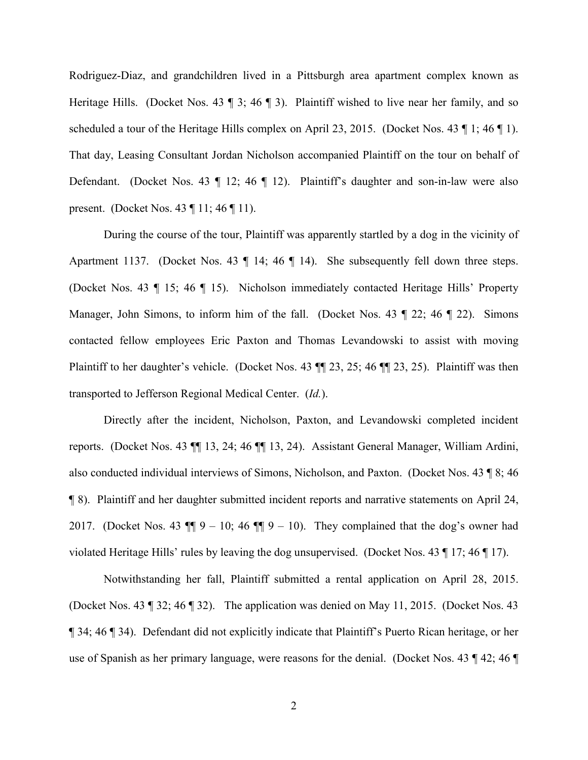Rodriguez-Diaz, and grandchildren lived in a Pittsburgh area apartment complex known as Heritage Hills. (Docket Nos. 43  $\parallel$  3; 46  $\parallel$  3). Plaintiff wished to live near her family, and so scheduled a tour of the Heritage Hills complex on April 23, 2015. (Docket Nos. 43 ¶ 1; 46 ¶ 1). That day, Leasing Consultant Jordan Nicholson accompanied Plaintiff on the tour on behalf of Defendant. (Docket Nos. 43 ¶ 12; 46 ¶ 12). Plaintiff's daughter and son-in-law were also present. (Docket Nos. 43 ¶ 11; 46 ¶ 11).

During the course of the tour, Plaintiff was apparently startled by a dog in the vicinity of Apartment 1137. (Docket Nos. 43 ¶ 14; 46 ¶ 14). She subsequently fell down three steps. (Docket Nos. 43 ¶ 15; 46 ¶ 15). Nicholson immediately contacted Heritage Hills' Property Manager, John Simons, to inform him of the fall. (Docket Nos. 43 ¶ 22; 46 ¶ 22). Simons contacted fellow employees Eric Paxton and Thomas Levandowski to assist with moving Plaintiff to her daughter's vehicle. (Docket Nos. 43 ¶¶ 23, 25; 46 ¶¶ 23, 25). Plaintiff was then transported to Jefferson Regional Medical Center. (*Id.*).

Directly after the incident, Nicholson, Paxton, and Levandowski completed incident reports. (Docket Nos. 43 ¶¶ 13, 24; 46 ¶¶ 13, 24). Assistant General Manager, William Ardini, also conducted individual interviews of Simons, Nicholson, and Paxton. (Docket Nos. 43 ¶ 8; 46 ¶ 8). Plaintiff and her daughter submitted incident reports and narrative statements on April 24, 2017. (Docket Nos. 43  $\P$ ] 9 – 10; 46  $\P$ ] 9 – 10). They complained that the dog's owner had violated Heritage Hills' rules by leaving the dog unsupervised. (Docket Nos. 43 ¶ 17; 46 ¶ 17).

Notwithstanding her fall, Plaintiff submitted a rental application on April 28, 2015. (Docket Nos. 43 ¶ 32; 46 ¶ 32). The application was denied on May 11, 2015. (Docket Nos. 43 ¶ 34; 46 ¶ 34). Defendant did not explicitly indicate that Plaintiff's Puerto Rican heritage, or her use of Spanish as her primary language, were reasons for the denial. (Docket Nos. 43 ¶ 42; 46 ¶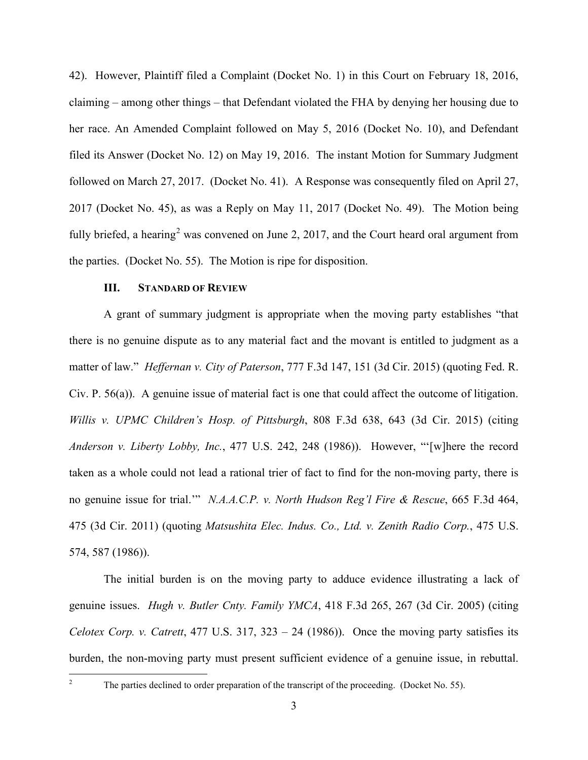42). However, Plaintiff filed a Complaint (Docket No. 1) in this Court on February 18, 2016, claiming – among other things – that Defendant violated the FHA by denying her housing due to her race. An Amended Complaint followed on May 5, 2016 (Docket No. 10), and Defendant filed its Answer (Docket No. 12) on May 19, 2016. The instant Motion for Summary Judgment followed on March 27, 2017. (Docket No. 41). A Response was consequently filed on April 27, 2017 (Docket No. 45), as was a Reply on May 11, 2017 (Docket No. 49). The Motion being fully briefed, a hearing<sup>[2](#page-2-0)</sup> was convened on June 2, 2017, and the Court heard oral argument from the parties. (Docket No. 55). The Motion is ripe for disposition.

#### **III. STANDARD OF REVIEW**

A grant of summary judgment is appropriate when the moving party establishes "that there is no genuine dispute as to any material fact and the movant is entitled to judgment as a matter of law." *Heffernan v. City of Paterson*, 777 F.3d 147, 151 (3d Cir. 2015) (quoting Fed. R. Civ. P. 56(a)). A genuine issue of material fact is one that could affect the outcome of litigation. *Willis v. UPMC Children's Hosp. of Pittsburgh*, 808 F.3d 638, 643 (3d Cir. 2015) (citing *Anderson v. Liberty Lobby, Inc.*, 477 U.S. 242, 248 (1986)). However, "'[w]here the record taken as a whole could not lead a rational trier of fact to find for the non-moving party, there is no genuine issue for trial.'" *N.A.A.C.P. v. North Hudson Reg'l Fire & Rescue*, 665 F.3d 464, 475 (3d Cir. 2011) (quoting *Matsushita Elec. Indus. Co., Ltd. v. Zenith Radio Corp.*, 475 U.S. 574, 587 (1986)).

The initial burden is on the moving party to adduce evidence illustrating a lack of genuine issues. *Hugh v. Butler Cnty. Family YMCA*, 418 F.3d 265, 267 (3d Cir. 2005) (citing *Celotex Corp. v. Catrett*, 477 U.S. 317, 323 – 24 (1986)). Once the moving party satisfies its burden, the non-moving party must present sufficient evidence of a genuine issue, in rebuttal.

<span id="page-2-0"></span> $\frac{1}{2}$ 

The parties declined to order preparation of the transcript of the proceeding. (Docket No. 55).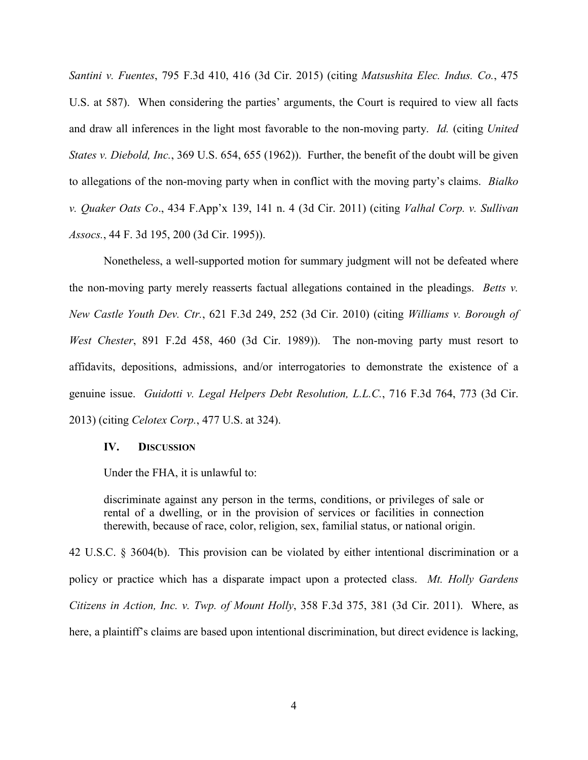*Santini v. Fuentes*, 795 F.3d 410, 416 (3d Cir. 2015) (citing *Matsushita Elec. Indus. Co.*, 475 U.S. at 587). When considering the parties' arguments, the Court is required to view all facts and draw all inferences in the light most favorable to the non-moving party. *Id.* (citing *United States v. Diebold, Inc.*, 369 U.S. 654, 655 (1962)). Further, the benefit of the doubt will be given to allegations of the non-moving party when in conflict with the moving party's claims. *Bialko v. Quaker Oats Co*., 434 F.App'x 139, 141 n. 4 (3d Cir. 2011) (citing *Valhal Corp. v. Sullivan Assocs.*, 44 F. 3d 195, 200 (3d Cir. 1995)).

Nonetheless, a well-supported motion for summary judgment will not be defeated where the non-moving party merely reasserts factual allegations contained in the pleadings. *Betts v. New Castle Youth Dev. Ctr.*, 621 F.3d 249, 252 (3d Cir. 2010) (citing *Williams v. Borough of West Chester*, 891 F.2d 458, 460 (3d Cir. 1989)). The non-moving party must resort to affidavits, depositions, admissions, and/or interrogatories to demonstrate the existence of a genuine issue. *Guidotti v. Legal Helpers Debt Resolution, L.L.C.*, 716 F.3d 764, 773 (3d Cir. 2013) (citing *Celotex Corp.*, 477 U.S. at 324).

#### **IV. DISCUSSION**

Under the FHA, it is unlawful to:

discriminate against any person in the terms, conditions, or privileges of sale or rental of a dwelling, or in the provision of services or facilities in connection therewith, because of race, color, religion, sex, familial status, or national origin.

42 U.S.C. § 3604(b). This provision can be violated by either intentional discrimination or a policy or practice which has a disparate impact upon a protected class. *Mt. Holly Gardens Citizens in Action, Inc. v. Twp. of Mount Holly*, 358 F.3d 375, 381 (3d Cir. 2011). Where, as here, a plaintiff's claims are based upon intentional discrimination, but direct evidence is lacking,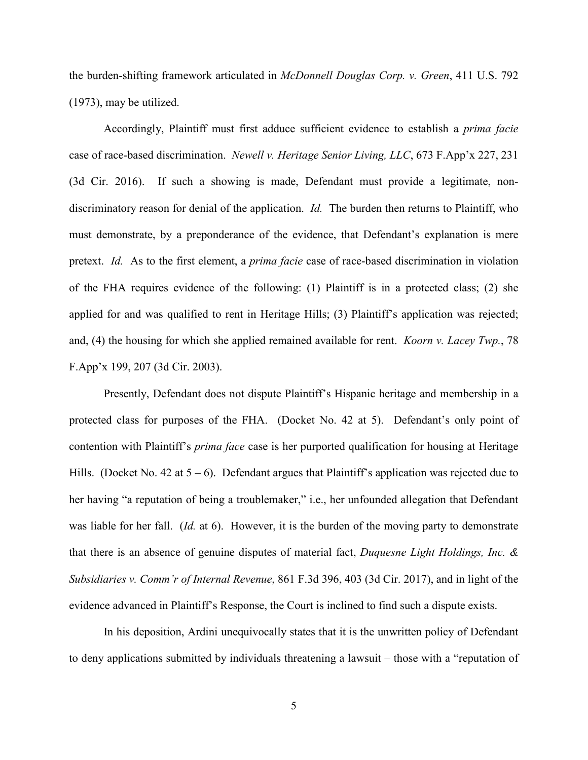the burden-shifting framework articulated in *McDonnell Douglas Corp. v. Green*, 411 U.S. 792 (1973), may be utilized.

Accordingly, Plaintiff must first adduce sufficient evidence to establish a *prima facie* case of race-based discrimination. *Newell v. Heritage Senior Living, LLC*, 673 F.App'x 227, 231 (3d Cir. 2016). If such a showing is made, Defendant must provide a legitimate, nondiscriminatory reason for denial of the application. *Id.* The burden then returns to Plaintiff, who must demonstrate, by a preponderance of the evidence, that Defendant's explanation is mere pretext. *Id.* As to the first element, a *prima facie* case of race-based discrimination in violation of the FHA requires evidence of the following: (1) Plaintiff is in a protected class; (2) she applied for and was qualified to rent in Heritage Hills; (3) Plaintiff's application was rejected; and, (4) the housing for which she applied remained available for rent. *Koorn v. Lacey Twp.*, 78 F.App'x 199, 207 (3d Cir. 2003).

Presently, Defendant does not dispute Plaintiff's Hispanic heritage and membership in a protected class for purposes of the FHA. (Docket No. 42 at 5). Defendant's only point of contention with Plaintiff's *prima face* case is her purported qualification for housing at Heritage Hills. (Docket No. 42 at  $5 - 6$ ). Defendant argues that Plaintiff's application was rejected due to her having "a reputation of being a troublemaker," i.e., her unfounded allegation that Defendant was liable for her fall. (*Id.* at 6). However, it is the burden of the moving party to demonstrate that there is an absence of genuine disputes of material fact, *Duquesne Light Holdings, Inc. & Subsidiaries v. Comm'r of Internal Revenue*, 861 F.3d 396, 403 (3d Cir. 2017), and in light of the evidence advanced in Plaintiff's Response, the Court is inclined to find such a dispute exists.

In his deposition, Ardini unequivocally states that it is the unwritten policy of Defendant to deny applications submitted by individuals threatening a lawsuit – those with a "reputation of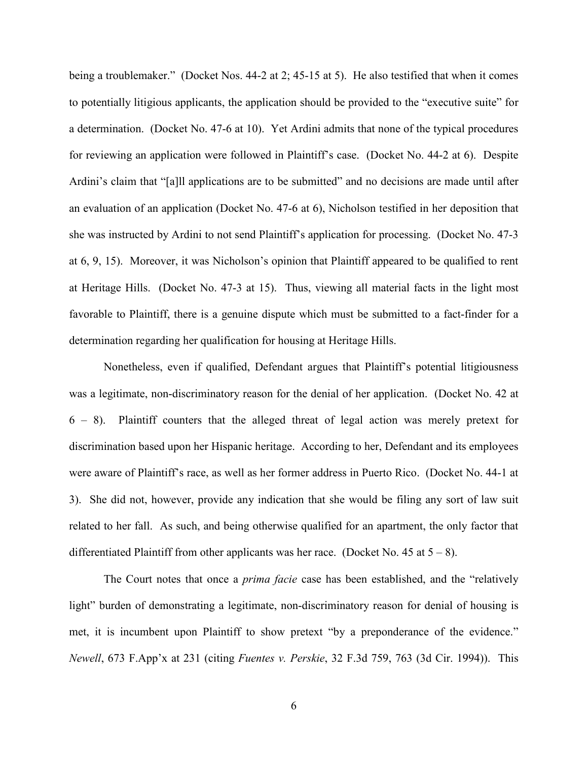being a troublemaker." (Docket Nos. 44-2 at 2; 45-15 at 5). He also testified that when it comes to potentially litigious applicants, the application should be provided to the "executive suite" for a determination. (Docket No. 47-6 at 10). Yet Ardini admits that none of the typical procedures for reviewing an application were followed in Plaintiff's case. (Docket No. 44-2 at 6). Despite Ardini's claim that "[a]ll applications are to be submitted" and no decisions are made until after an evaluation of an application (Docket No. 47-6 at 6), Nicholson testified in her deposition that she was instructed by Ardini to not send Plaintiff's application for processing. (Docket No. 47-3 at 6, 9, 15). Moreover, it was Nicholson's opinion that Plaintiff appeared to be qualified to rent at Heritage Hills. (Docket No. 47-3 at 15). Thus, viewing all material facts in the light most favorable to Plaintiff, there is a genuine dispute which must be submitted to a fact-finder for a determination regarding her qualification for housing at Heritage Hills.

Nonetheless, even if qualified, Defendant argues that Plaintiff's potential litigiousness was a legitimate, non-discriminatory reason for the denial of her application. (Docket No. 42 at 6 – 8). Plaintiff counters that the alleged threat of legal action was merely pretext for discrimination based upon her Hispanic heritage. According to her, Defendant and its employees were aware of Plaintiff's race, as well as her former address in Puerto Rico. (Docket No. 44-1 at 3). She did not, however, provide any indication that she would be filing any sort of law suit related to her fall. As such, and being otherwise qualified for an apartment, the only factor that differentiated Plaintiff from other applicants was her race. (Docket No. 45 at  $5 - 8$ ).

The Court notes that once a *prima facie* case has been established, and the "relatively light" burden of demonstrating a legitimate, non-discriminatory reason for denial of housing is met, it is incumbent upon Plaintiff to show pretext "by a preponderance of the evidence." *Newell*, 673 F.App'x at 231 (citing *Fuentes v. Perskie*, 32 F.3d 759, 763 (3d Cir. 1994)). This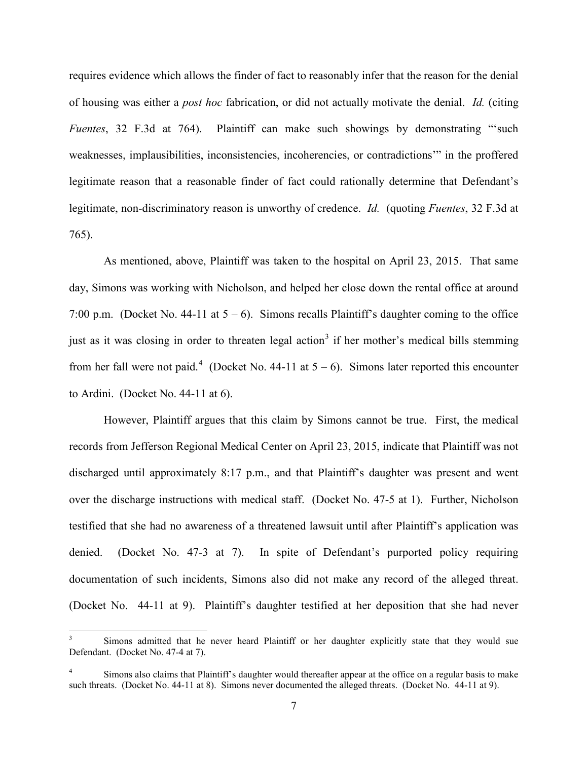requires evidence which allows the finder of fact to reasonably infer that the reason for the denial of housing was either a *post hoc* fabrication, or did not actually motivate the denial. *Id.* (citing *Fuentes*, 32 F.3d at 764). Plaintiff can make such showings by demonstrating "'such weaknesses, implausibilities, inconsistencies, incoherencies, or contradictions'" in the proffered legitimate reason that a reasonable finder of fact could rationally determine that Defendant's legitimate, non-discriminatory reason is unworthy of credence. *Id.* (quoting *Fuentes*, 32 F.3d at 765).

As mentioned, above, Plaintiff was taken to the hospital on April 23, 2015. That same day, Simons was working with Nicholson, and helped her close down the rental office at around 7:00 p.m. (Docket No. 44-11 at  $5 - 6$ ). Simons recalls Plaintiff's daughter coming to the office just as it was closing in order to threaten legal action<sup>[3](#page-6-0)</sup> if her mother's medical bills stemming from her fall were not paid.<sup>[4](#page-6-1)</sup> (Docket No. 44-11 at  $5 - 6$ ). Simons later reported this encounter to Ardini. (Docket No. 44-11 at 6).

However, Plaintiff argues that this claim by Simons cannot be true. First, the medical records from Jefferson Regional Medical Center on April 23, 2015, indicate that Plaintiff was not discharged until approximately 8:17 p.m., and that Plaintiff's daughter was present and went over the discharge instructions with medical staff. (Docket No. 47-5 at 1). Further, Nicholson testified that she had no awareness of a threatened lawsuit until after Plaintiff's application was denied. (Docket No. 47-3 at 7). In spite of Defendant's purported policy requiring documentation of such incidents, Simons also did not make any record of the alleged threat. (Docket No. 44-11 at 9). Plaintiff's daughter testified at her deposition that she had never

-

<span id="page-6-0"></span><sup>3</sup> Simons admitted that he never heard Plaintiff or her daughter explicitly state that they would sue Defendant. (Docket No. 47-4 at 7).

<span id="page-6-1"></span><sup>4</sup> Simons also claims that Plaintiff's daughter would thereafter appear at the office on a regular basis to make such threats. (Docket No. 44-11 at 8). Simons never documented the alleged threats. (Docket No. 44-11 at 9).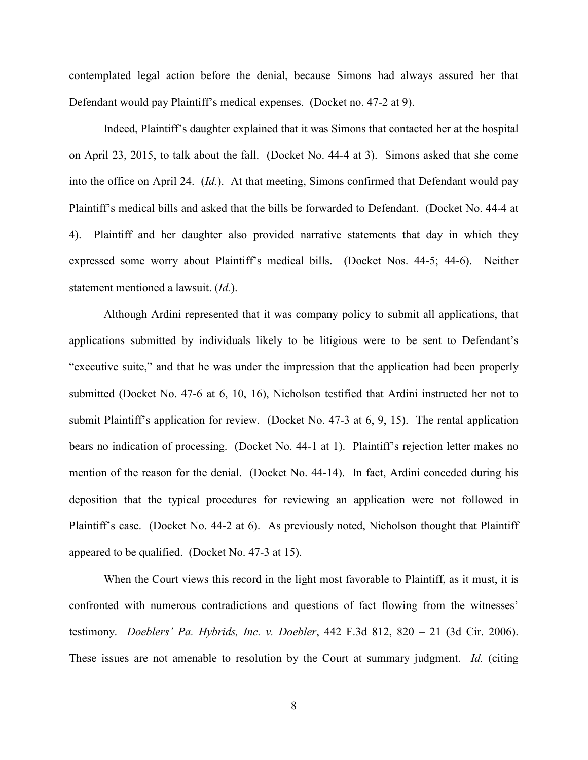contemplated legal action before the denial, because Simons had always assured her that Defendant would pay Plaintiff's medical expenses. (Docket no. 47-2 at 9).

Indeed, Plaintiff's daughter explained that it was Simons that contacted her at the hospital on April 23, 2015, to talk about the fall. (Docket No. 44-4 at 3). Simons asked that she come into the office on April 24. (*Id.*). At that meeting, Simons confirmed that Defendant would pay Plaintiff's medical bills and asked that the bills be forwarded to Defendant. (Docket No. 44-4 at 4). Plaintiff and her daughter also provided narrative statements that day in which they expressed some worry about Plaintiff's medical bills. (Docket Nos. 44-5; 44-6). Neither statement mentioned a lawsuit. (*Id.*).

Although Ardini represented that it was company policy to submit all applications, that applications submitted by individuals likely to be litigious were to be sent to Defendant's "executive suite," and that he was under the impression that the application had been properly submitted (Docket No. 47-6 at 6, 10, 16), Nicholson testified that Ardini instructed her not to submit Plaintiff's application for review. (Docket No. 47-3 at 6, 9, 15). The rental application bears no indication of processing. (Docket No. 44-1 at 1). Plaintiff's rejection letter makes no mention of the reason for the denial. (Docket No. 44-14). In fact, Ardini conceded during his deposition that the typical procedures for reviewing an application were not followed in Plaintiff's case. (Docket No. 44-2 at 6). As previously noted, Nicholson thought that Plaintiff appeared to be qualified. (Docket No. 47-3 at 15).

When the Court views this record in the light most favorable to Plaintiff, as it must, it is confronted with numerous contradictions and questions of fact flowing from the witnesses' testimony. *Doeblers' Pa. Hybrids, Inc. v. Doebler*, 442 F.3d 812, 820 – 21 (3d Cir. 2006). These issues are not amenable to resolution by the Court at summary judgment. *Id.* (citing